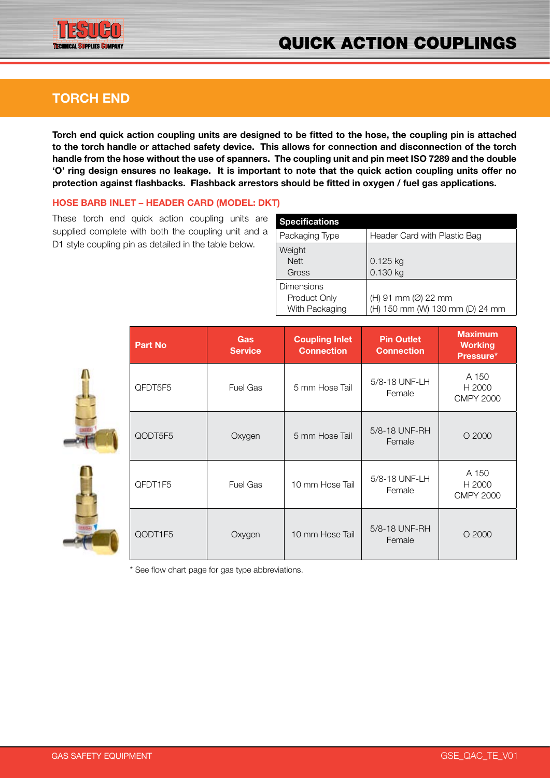

## **TORCH END**

**Torch end quick action coupling units are designed to be fitted to the hose, the coupling pin is attached to the torch handle or attached safety device. This allows for connection and disconnection of the torch handle from the hose without the use of spanners. The coupling unit and pin meet ISO 7289 and the double 'O' ring design ensures no leakage. It is important to note that the quick action coupling units offer no protection against flashbacks. Flashback arrestors should be fitted in oxygen / fuel gas applications.**

### **HOSE BARB INLET – HEADER CARD (MODEL: DKT)**

These torch end quick action coupling units are supplied complete with both the coupling unit and a D1 style coupling pin as detailed in the table below.

| <b>Specifications</b>                               |                                                        |
|-----------------------------------------------------|--------------------------------------------------------|
| Packaging Type                                      | Header Card with Plastic Bag                           |
| Weight<br><b>Nett</b><br>Gross                      | $0.125$ kg<br>0.130 kg                                 |
| <b>Dimensions</b><br>Product Only<br>With Packaging | (H) 91 mm (Ø) 22 mm<br>(H) 150 mm (W) 130 mm (D) 24 mm |



| <b>Part No</b> | <b>Gas</b><br><b>Service</b> | <b>Coupling Inlet</b><br><b>Connection</b> | <b>Pin Outlet</b><br><b>Connection</b> | <b>Maximum</b><br><b>Working</b><br>Pressure* |
|----------------|------------------------------|--------------------------------------------|----------------------------------------|-----------------------------------------------|
| QFDT5F5        | <b>Fuel Gas</b>              | 5 mm Hose Tail                             | 5/8-18 UNF-LH<br>Female                | A 150<br>H 2000<br><b>CMPY 2000</b>           |
| QODT5F5        | Oxygen                       | 5 mm Hose Tail                             | 5/8-18 UNF-RH<br>Female                | $O$ 2000                                      |
| QFDT1F5        | <b>Fuel Gas</b>              | 10 mm Hose Tail                            | 5/8-18 UNF-LH<br>Female                | A 150<br>H 2000<br><b>CMPY 2000</b>           |
| QODT1F5        | Oxygen                       | 10 mm Hose Tail                            | 5/8-18 UNF-RH<br>Female                | $O$ 2000                                      |

\* See flow chart page for gas type abbreviations.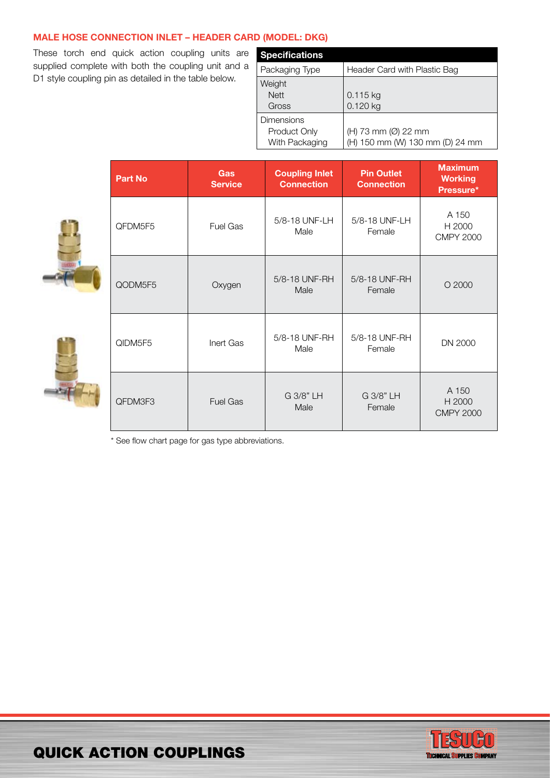### **MALE HOSE CONNECTION INLET – HEADER CARD (MODEL: DKG)**

These torch end quick action coupling units are supplied complete with both the coupling unit and a D1 style coupling pin as detailed in the table below.

| <b>Specifications</b>                               |                                                        |
|-----------------------------------------------------|--------------------------------------------------------|
| Packaging Type                                      | Header Card with Plastic Bag                           |
| Weight<br><b>Nett</b><br>Gross                      | 0.115 kg<br>0.120 kg                                   |
| <b>Dimensions</b><br>Product Only<br>With Packaging | (H) 73 mm (Ø) 22 mm<br>(H) 150 mm (W) 130 mm (D) 24 mm |





| <b>Part No</b> | Gas<br><b>Service</b> | <b>Coupling Inlet</b><br><b>Connection</b> | <b>Pin Outlet</b><br><b>Connection</b> | <b>Maximum</b><br><b>Working</b><br>Pressure* |
|----------------|-----------------------|--------------------------------------------|----------------------------------------|-----------------------------------------------|
| QFDM5F5        | <b>Fuel Gas</b>       | 5/8-18 UNF-LH<br>Male                      | 5/8-18 UNF-LH<br>Female                | A 150<br>H 2000<br><b>CMPY 2000</b>           |
| QODM5F5        | Oxygen                | 5/8-18 UNF-RH<br>Male                      | 5/8-18 UNF-RH<br>Female                | $O$ 2000                                      |
| QIDM5F5        | Inert Gas             | 5/8-18 UNF-RH<br>Male                      | 5/8-18 UNF-RH<br>Female                | DN 2000                                       |
| QFDM3F3        | <b>Fuel Gas</b>       | G 3/8" LH<br>Male                          | G 3/8" LH<br>Female                    | A 150<br>H 2000<br><b>CMPY 2000</b>           |

\* See flow chart page for gas type abbreviations.



# QUICK ACTION COUPLingS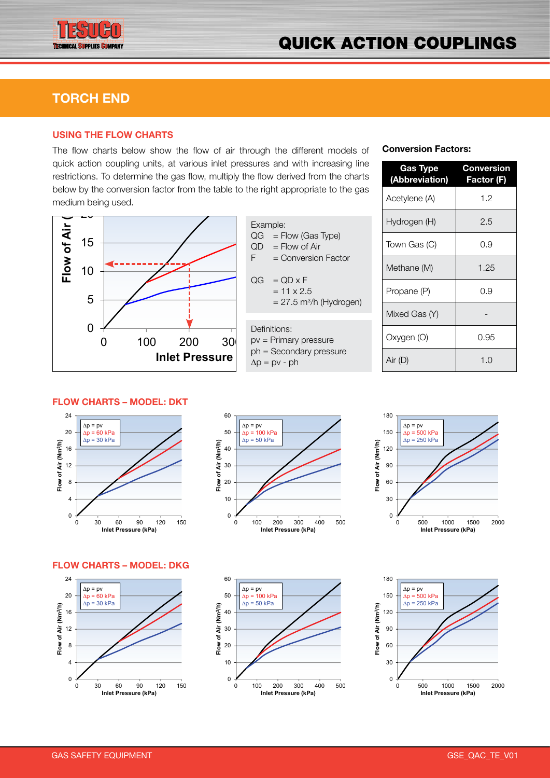

## **TORCH END**

0 5

# USING THE FLOW CHART

The flow charts below show the flow of air through the different models of quick action coupling units, at various inlet pressures and with increasing line restrictions. To determine the gas flow, multiply the flow derived from the charts below by the conversion factor from the table to the right appropriate to the gas medium being used.



Example:  $QG = Flow (Gas Type)$  $QD =$  Flow of Air  $F =$  Conversion Factor  $QG = QD \times F$  $= 11 \times 2.5$ 

 $= 27.5$  m<sup>3</sup>/h (Hydrogen)



### **Conversion Factors:**

| <b>Gas Type</b><br>(Abbreviation) | <b>Conversion</b><br>Factor (F) |
|-----------------------------------|---------------------------------|
| Acetylene (A)                     | 1.2                             |
| Hydrogen (H)                      | 2.5                             |
| Town Gas (C)                      | 0.9                             |
| Methane (M)                       | 1.25                            |
| Propane (P)                       | 0.9                             |
| Mixed Gas (Y)                     |                                 |
| Oxygen (O)                        | 0.95                            |
| Air (D)                           | 1.0                             |

### **FLOW CHARTS – MODEL: DKT**







#### **FLOW CHARTS – MODEL: DKG**